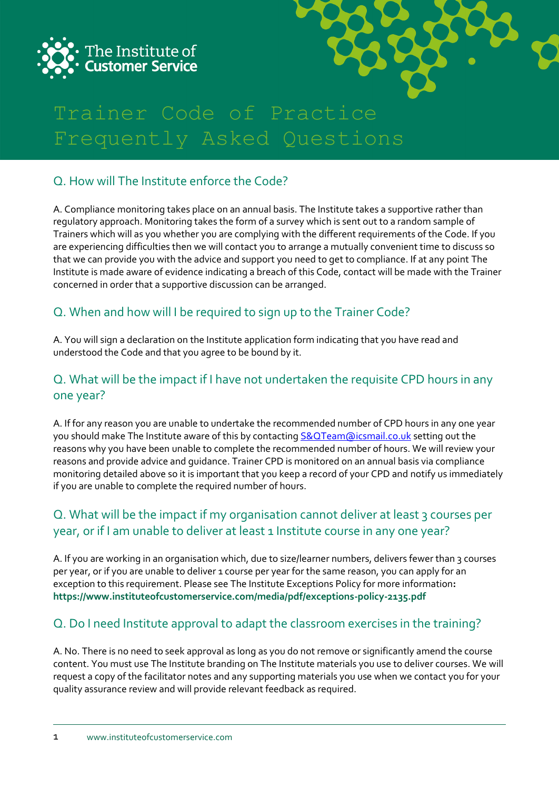



# Trainer Code of Practice Frequently Asked Questions

# Q. How will The Institute enforce the Code?

A. Compliance monitoring takes place on an annual basis. The Institute takes a supportive rather than regulatory approach. Monitoring takes the form of a survey which is sent out to a random sample of Trainers which will as you whether you are complying with the different requirements of the Code. If you are experiencing difficulties then we will contact you to arrange a mutually convenient time to discuss so that we can provide you with the advice and support you need to get to compliance. If at any point The Institute is made aware of evidence indicating a breach of this Code, contact will be made with the Trainer concerned in order that a supportive discussion can be arranged.

# Q. When and how will I be required to sign up to the Trainer Code?

A. You will sign a declaration on the Institute application form indicating that you have read and understood the Code and that you agree to be bound by it.

#### Q. What will be the impact if I have not undertaken the requisite CPD hours in any one year?

A. If for any reason you are unable to undertake the recommended number of CPD hours in any one year you should make The Institute aware of this by contacting [S&QTeam@icsmail.co.uk](mailto:S&QTeam@icsmail.co.uk) setting out the reasons why you have been unable to complete the recommended number of hours. We will review your reasons and provide advice and guidance. Trainer CPD is monitored on an annual basis via compliance monitoring detailed above so it is important that you keep a record of your CPD and notify us immediately if you are unable to complete the required number of hours.

## Q. What will be the impact if my organisation cannot deliver at least 3 courses per year, or if I am unable to deliver at least 1 Institute course in any one year?

A. If you are working in an organisation which, due to size/learner numbers, delivers fewer than 3 courses per year, or if you are unable to deliver 1 course per year for the same reason, you can apply for an exception to this requirement. Please see The Institute Exceptions Policy for more information**: <https://www.instituteofcustomerservice.com/media/pdf/exceptions-policy-2135.pdf>**

## Q. Do I need Institute approval to adapt the classroom exercises in the training?

A. No. There is no need to seek approval as long as you do not remove or significantly amend the course content. You must use The Institute branding on The Institute materials you use to deliver courses. We will request a copy of the facilitator notes and any supporting materials you use when we contact you for your quality assurance review and will provide relevant feedback as required.